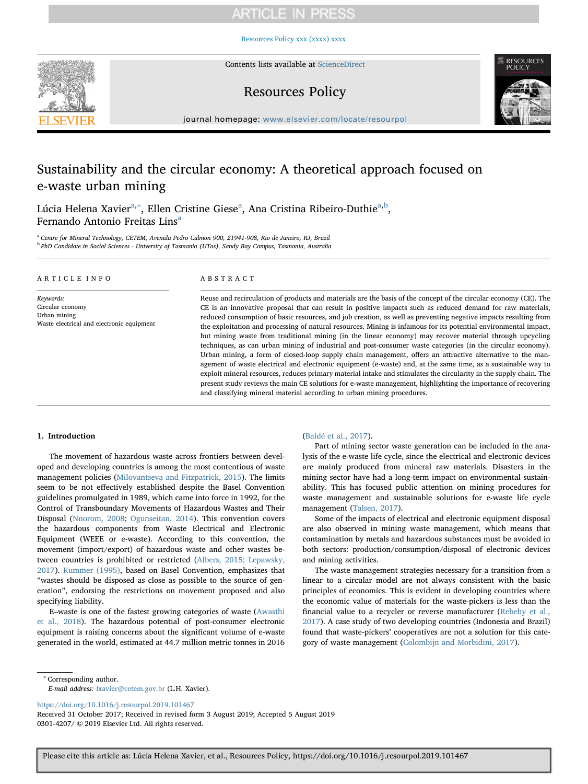# **ARTICLE IN PRESS**

[Resources Policy xxx \(xxxx\) xxxx](https://doi.org/10.1016/j.resourpol.2019.101467)



Contents lists available at [ScienceDirect](http://www.sciencedirect.com/science/journal/03014207)

# Resources Policy



journal homepage: [www.elsevier.com/locate/resourpol](https://www.elsevier.com/locate/resourpol)

# Sustainability and the circular economy: A theoretical approach focused on e-waste urban mining

Lúci[a](#page-0-0) Helena Xavierª,\*, Ellen Cristine Gieseª, Ana Cristina Ri[b](#page-0-2)eiro-Duthieª,<sup>b</sup>, Fern[a](#page-0-0)ndo Antonio Freitas Lins<sup>a</sup>

<span id="page-0-2"></span><span id="page-0-0"></span><sup>a</sup> Centre for Mineral Technology, CETEM, Avenida Pedro Calmon 900, 21941-908, Rio de Janeiro, RJ, Brazil <sup>b</sup> PhD Candidate in Social Sciences - University of Tasmania (UTas), Sandy Bay Campus, Tasmania, Australia

| ARTICLE INFO                                                                               | ABSTRACT                                                                                                                                                                                                                                                                                                                                                                                                                                                                                                                                                                                                                                                                                        |
|--------------------------------------------------------------------------------------------|-------------------------------------------------------------------------------------------------------------------------------------------------------------------------------------------------------------------------------------------------------------------------------------------------------------------------------------------------------------------------------------------------------------------------------------------------------------------------------------------------------------------------------------------------------------------------------------------------------------------------------------------------------------------------------------------------|
| Keywords:<br>Circular economy<br>Urban mining<br>Waste electrical and electronic equipment | Reuse and recirculation of products and materials are the basis of the concept of the circular economy (CE). The<br>CE is an innovative proposal that can result in positive impacts such as reduced demand for raw materials,<br>reduced consumption of basic resources, and job creation, as well as preventing negative impacts resulting from<br>the exploitation and processing of natural resources. Mining is infamous for its potential environmental impact,<br>but mining waste from traditional mining (in the linear economy) may recover material through upcycling<br>techniques, as can urban mining of industrial and post-consumer waste categories (in the circular economy). |

## 1. Introduction

The movement of hazardous waste across frontiers between developed and developing countries is among the most contentious of waste management policies [\(Milovantseva and Fitzpatrick, 2015\)](#page-7-0). The limits seem to be not effectively established despite the Basel Convention guidelines promulgated in 1989, which came into force in 1992, for the Control of Transboundary Movements of Hazardous Wastes and Their Disposal ([Nnorom, 2008](#page-7-1); [Ogunseitan, 2014\)](#page-7-2). This convention covers the hazardous components from Waste Electrical and Electronic Equipment (WEEE or e-waste). According to this convention, the movement (import/export) of hazardous waste and other wastes between countries is prohibited or restricted ([Albers, 2015; Lepawsky,](#page-7-3) [2017\)](#page-7-3). [Kummer \(1995\),](#page-7-4) based on Basel Convention, emphasizes that "wastes should be disposed as close as possible to the source of generation", endorsing the restrictions on movement proposed and also specifying liability.

E–waste is one of the fastest growing categories of waste [\(Awasthi](#page-7-5) [et al., 2018](#page-7-5)). The hazardous potential of post-consumer electronic equipment is raising concerns about the significant volume of e-waste generated in the world, estimated at 44.7 million metric tonnes in 2016

## ([Baldé et al., 2017\)](#page-7-6).

and classifying mineral material according to urban mining procedures.

Urban mining, a form of closed-loop supply chain management, offers an attractive alternative to the management of waste electrical and electronic equipment (e-waste) and, at the same time, as a sustainable way to exploit mineral resources, reduces primary material intake and stimulates the circularity in the supply chain. The present study reviews the main CE solutions for e-waste management, highlighting the importance of recovering

> Part of mining sector waste generation can be included in the analysis of the e-waste life cycle, since the electrical and electronic devices are mainly produced from mineral raw materials. Disasters in the mining sector have had a long-term impact on environmental sustainability. This has focused public attention on mining procedures for waste management and sustainable solutions for e-waste life cycle management ([Talsen, 2017](#page-8-0)).

> Some of the impacts of electrical and electronic equipment disposal are also observed in mining waste management, which means that contamination by metals and hazardous substances must be avoided in both sectors: production/consumption/disposal of electronic devices and mining activities.

> The waste management strategies necessary for a transition from a linear to a circular model are not always consistent with the basic principles of economics. This is evident in developing countries where the economic value of materials for the waste-pickers is less than the financial value to a recycler or reverse manufacturer ([Rebehy et al.,](#page-8-1) [2017\)](#page-8-1). A case study of two developing countries (Indonesia and Brazil) found that waste-pickers' cooperatives are not a solution for this category of waste management ([Colombijn and Morbidini, 2017](#page-7-7)).

<span id="page-0-1"></span><sup>∗</sup> Corresponding author.

E-mail address: [lxavier@cetem.gov.br](mailto:lxavier@cetem.gov.br) (L.H. Xavier).

<https://doi.org/10.1016/j.resourpol.2019.101467>

Received 31 October 2017; Received in revised form 3 August 2019; Accepted 5 August 2019 0301-4207/ © 2019 Elsevier Ltd. All rights reserved.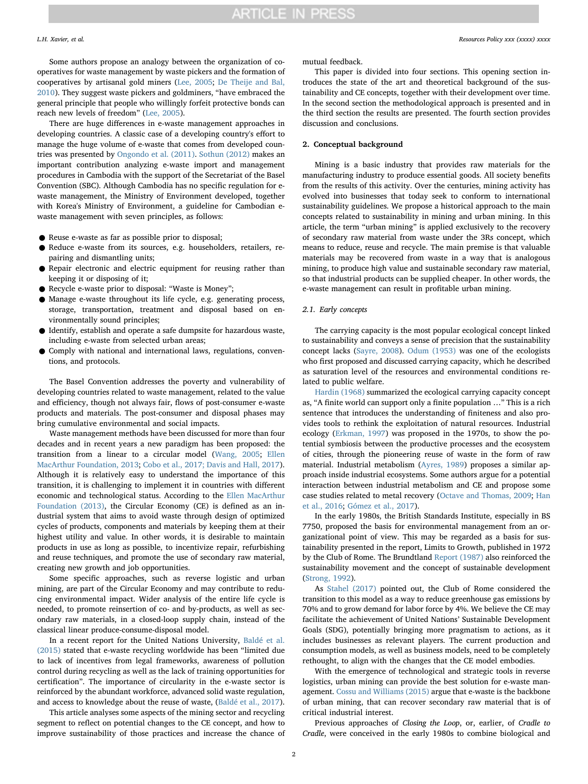Some authors propose an analogy between the organization of cooperatives for waste management by waste pickers and the formation of cooperatives by artisanal gold miners ([Lee, 2005](#page-7-8); [De Theije and Bal,](#page-7-9) [2010\)](#page-7-9). They suggest waste pickers and goldminers, "have embraced the general principle that people who willingly forfeit protective bonds can reach new levels of freedom" ([Lee, 2005](#page-7-8)).

There are huge differences in e-waste management approaches in developing countries. A classic case of a developing country's effort to manage the huge volume of e-waste that comes from developed countries was presented by [Ongondo et al. \(2011\)](#page-7-10). [Sothun \(2012\)](#page-8-2) makes an important contribution analyzing e-waste import and management procedures in Cambodia with the support of the Secretariat of the Basel Convention (SBC). Although Cambodia has no specific regulation for ewaste management, the Ministry of Environment developed, together with Korea's Ministry of Environment, a guideline for Cambodian ewaste management with seven principles, as follows:

- Reuse e-waste as far as possible prior to disposal;
- Reduce e-waste from its sources, e.g. householders, retailers, repairing and dismantling units;
- Repair electronic and electric equipment for reusing rather than keeping it or disposing of it;
- Recycle e-waste prior to disposal: "Waste is Money";
- Manage e-waste throughout its life cycle, e.g. generating process, storage, transportation, treatment and disposal based on environmentally sound principles;
- Identify, establish and operate a safe dumpsite for hazardous waste, including e-waste from selected urban areas;
- Comply with national and international laws, regulations, conventions, and protocols.

The Basel Convention addresses the poverty and vulnerability of developing countries related to waste management, related to the value and efficiency, though not always fair, flows of post-consumer e-waste products and materials. The post-consumer and disposal phases may bring cumulative environmental and social impacts.

Waste management methods have been discussed for more than four decades and in recent years a new paradigm has been proposed: the transition from a linear to a circular model ([Wang, 2005](#page-8-3); [Ellen](#page-7-11) [MacArthur Foundation, 2013;](#page-7-11) [Cobo et al., 2017; Davis and Hall, 2017](#page-7-12)). Although it is relatively easy to understand the importance of this transition, it is challenging to implement it in countries with different economic and technological status. According to the [Ellen MacArthur](#page-7-11) [Foundation \(2013\),](#page-7-11) the Circular Economy (CE) is defined as an industrial system that aims to avoid waste through design of optimized cycles of products, components and materials by keeping them at their highest utility and value. In other words, it is desirable to maintain products in use as long as possible, to incentivize repair, refurbishing and reuse techniques, and promote the use of secondary raw material, creating new growth and job opportunities.

Some specific approaches, such as reverse logistic and urban mining, are part of the Circular Economy and may contribute to reducing environmental impact. Wider analysis of the entire life cycle is needed, to promote reinsertion of co- and by-products, as well as secondary raw materials, in a closed-loop supply chain, instead of the classical linear produce-consume-disposal model.

In a recent report for the United Nations University, [Baldé et al.](#page-7-13) [\(2015\)](#page-7-13) stated that e-waste recycling worldwide has been "limited due to lack of incentives from legal frameworks, awareness of pollution control during recycling as well as the lack of training opportunities for certification". The importance of circularity in the e-waste sector is reinforced by the abundant workforce, advanced solid waste regulation, and access to knowledge about the reuse of waste, [\(Baldé et al., 2017](#page-7-6)).

This article analyses some aspects of the mining sector and recycling segment to reflect on potential changes to the CE concept, and how to improve sustainability of those practices and increase the chance of mutual feedback.

This paper is divided into four sections. This opening section introduces the state of the art and theoretical background of the sustainability and CE concepts, together with their development over time. In the second section the methodological approach is presented and in the third section the results are presented. The fourth section provides discussion and conclusions.

## 2. Conceptual background

Mining is a basic industry that provides raw materials for the manufacturing industry to produce essential goods. All society benefits from the results of this activity. Over the centuries, mining activity has evolved into businesses that today seek to conform to international sustainability guidelines. We propose a historical approach to the main concepts related to sustainability in mining and urban mining. In this article, the term "urban mining" is applied exclusively to the recovery of secondary raw material from waste under the 3Rs concept, which means to reduce, reuse and recycle. The main premise is that valuable materials may be recovered from waste in a way that is analogous mining, to produce high value and sustainable secondary raw material, so that industrial products can be supplied cheaper. In other words, the e-waste management can result in profitable urban mining.

# 2.1. Early concepts

The carrying capacity is the most popular ecological concept linked to sustainability and conveys a sense of precision that the sustainability concept lacks [\(Sayre, 2008](#page-8-4)). [Odum \(1953\)](#page-7-14) was one of the ecologists who first proposed and discussed carrying capacity, which he described as saturation level of the resources and environmental conditions related to public welfare.

[Hardin \(1968\)](#page-7-15) summarized the ecological carrying capacity concept as, "A finite world can support only a finite population …" This is a rich sentence that introduces the understanding of finiteness and also provides tools to rethink the exploitation of natural resources. Industrial ecology ([Erkman, 1997\)](#page-7-16) was proposed in the 1970s, to show the potential symbiosis between the productive processes and the ecosystem of cities, through the pioneering reuse of waste in the form of raw material. Industrial metabolism ([Ayres, 1989](#page-7-17)) proposes a similar approach inside industrial ecosystems. Some authors argue for a potential interaction between industrial metabolism and CE and propose some case studies related to metal recovery ([Octave and Thomas, 2009](#page-7-18); [Han](#page-7-19) [et al., 2016](#page-7-19); [Gómez et al., 2017\)](#page-7-20).

In the early 1980s, the British Standards Institute, especially in BS 7750, proposed the basis for environmental management from an organizational point of view. This may be regarded as a basis for sustainability presented in the report, Limits to Growth, published in 1972 by the Club of Rome. The Brundtland [Report \(1987\)](#page-8-5) also reinforced the sustainability movement and the concept of sustainable development ([Strong, 1992](#page-8-6)).

As [Stahel \(2017\)](#page-8-7) pointed out, the Club of Rome considered the transition to this model as a way to reduce greenhouse gas emissions by 70% and to grow demand for labor force by 4%. We believe the CE may facilitate the achievement of United Nations' Sustainable Development Goals (SDG), potentially bringing more pragmatism to actions, as it includes businesses as relevant players. The current production and consumption models, as well as business models, need to be completely rethought, to align with the changes that the CE model embodies.

With the emergence of technological and strategic tools in reverse logistics, urban mining can provide the best solution for e-waste management. [Cossu and Williams \(2015\)](#page-7-21) argue that e-waste is the backbone of urban mining, that can recover secondary raw material that is of critical industrial interest.

Previous approaches of Closing the Loop, or, earlier, of Cradle to Cradle, were conceived in the early 1980s to combine biological and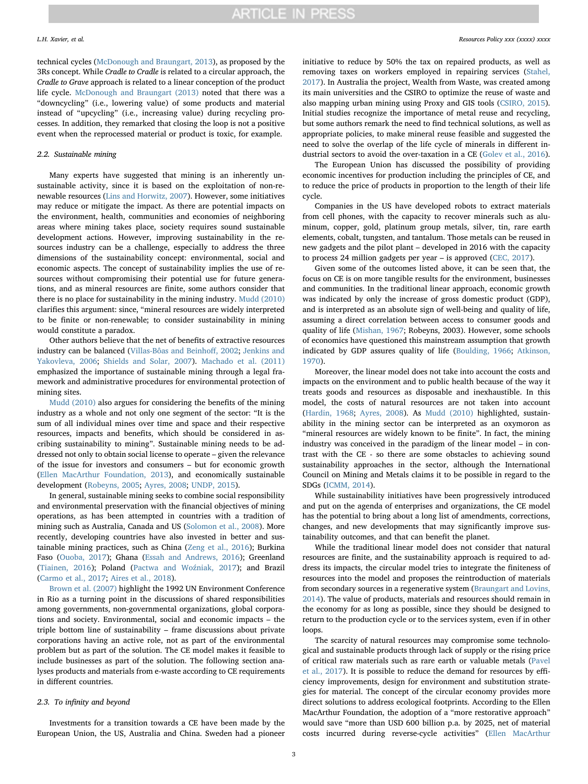technical cycles ([McDonough and Braungart, 2013](#page-7-22)), as proposed by the 3Rs concept. While Cradle to Cradle is related to a circular approach, the Cradle to Grave approach is related to a linear conception of the product life cycle. [McDonough and Braungart \(2013\)](#page-7-22) noted that there was a "downcycling" (i.e., lowering value) of some products and material instead of "upcycling" (i.e., increasing value) during recycling processes. In addition, they remarked that closing the loop is not a positive event when the reprocessed material or product is toxic, for example.

# 2.2. Sustainable mining

Many experts have suggested that mining is an inherently unsustainable activity, since it is based on the exploitation of non-renewable resources [\(Lins and Horwitz, 2007\)](#page-7-23). However, some initiatives may reduce or mitigate the impact. As there are potential impacts on the environment, health, communities and economies of neighboring areas where mining takes place, society requires sound sustainable development actions. However, improving sustainability in the resources industry can be a challenge, especially to address the three dimensions of the sustainability concept: environmental, social and economic aspects. The concept of sustainability implies the use of resources without compromising their potential use for future generations, and as mineral resources are finite, some authors consider that there is no place for sustainability in the mining industry. [Mudd \(2010\)](#page-7-24) clarifies this argument: since, "mineral resources are widely interpreted to be finite or non-renewable; to consider sustainability in mining would constitute a paradox.

Other authors believe that the net of benefits of extractive resources industry can be balanced [\(Villas-Bôas and Beinho](#page-8-8)ff, 2002; [Jenkins and](#page-7-25) [Yakovleva, 2006;](#page-7-25) [Shields and Solar, 2007\)](#page-8-9). [Machado et al. \(2011\)](#page-7-26) emphasized the importance of sustainable mining through a legal framework and administrative procedures for environmental protection of mining sites.

[Mudd \(2010\)](#page-7-24) also argues for considering the benefits of the mining industry as a whole and not only one segment of the sector: "It is the sum of all individual mines over time and space and their respective resources, impacts and benefits, which should be considered in ascribing sustainability to mining". Sustainable mining needs to be addressed not only to obtain social license to operate – given the relevance of the issue for investors and consumers – but for economic growth ([Ellen MacArthur Foundation, 2013\)](#page-7-11), and economically sustainable development ([Robeyns, 2005](#page-8-10); [Ayres, 2008;](#page-7-27) [UNDP, 2015](#page-8-11)).

In general, sustainable mining seeks to combine social responsibility and environmental preservation with the financial objectives of mining operations, as has been attempted in countries with a tradition of mining such as Australia, Canada and US (Solomon [et al., 2008\)](#page-8-12). More recently, developing countries have also invested in better and sustainable mining practices, such as China [\(Zeng et al., 2016\)](#page-8-13); Burkina Faso ([Ouoba, 2017\)](#page-7-28); Ghana [\(Essah and Andrews, 2016\)](#page-7-29); Greenland ([Tiainen, 2016](#page-8-14)); Poland [\(Pactwa and Wo](#page-8-15)źniak, 2017); and Brazil ([Carmo et al., 2017](#page-7-30); [Aires et al., 2018\)](#page-7-31).

[Brown et al. \(2007\)](#page-7-32) highlight the 1992 UN Environment Conference in Rio as a turning point in the discussions of shared responsibilities among governments, non-governmental organizations, global corporations and society. Environmental, social and economic impacts – the triple bottom line of sustainability – frame discussions about private corporations having an active role, not as part of the environmental problem but as part of the solution. The CE model makes it feasible to include businesses as part of the solution. The following section analyses products and materials from e-waste according to CE requirements in different countries.

### 2.3. To infinity and beyond

Investments for a transition towards a CE have been made by the European Union, the US, Australia and China. Sweden had a pioneer

initiative to reduce by 50% the tax on repaired products, as well as removing taxes on workers employed in repairing services ([Stahel,](#page-8-7) [2017\)](#page-8-7). In Australia the project, Wealth from Waste, was created among its main universities and the CSIRO to optimize the reuse of waste and also mapping urban mining using Proxy and GIS tools ([CSIRO, 2015](#page-7-33)). Initial studies recognize the importance of metal reuse and recycling, but some authors remark the need to find technical solutions, as well as appropriate policies, to make mineral reuse feasible and suggested the need to solve the overlap of the life cycle of minerals in different industrial sectors to avoid the over-taxation in a CE ([Golev et al., 2016](#page-7-34)).

The European Union has discussed the possibility of providing economic incentives for production including the principles of CE, and to reduce the price of products in proportion to the length of their life cycle.

Companies in the US have developed robots to extract materials from cell phones, with the capacity to recover minerals such as aluminum, copper, gold, platinum group metals, silver, tin, rare earth elements, cobalt, tungsten, and tantalum. Those metals can be reused in new gadgets and the pilot plant – developed in 2016 with the capacity to process 24 million gadgets per year – is approved [\(CEC, 2017\)](#page-7-35).

Given some of the outcomes listed above, it can be seen that, the focus on CE is on more tangible results for the environment, businesses and communities. In the traditional linear approach, economic growth was indicated by only the increase of gross domestic product (GDP), and is interpreted as an absolute sign of well-being and quality of life, assuming a direct correlation between access to consumer goods and quality of life ([Mishan, 1967](#page-7-36); Robeyns, 2003). However, some schools of economics have questioned this mainstream assumption that growth indicated by GDP assures quality of life [\(Boulding, 1966;](#page-7-37) [Atkinson,](#page-7-38) [1970\)](#page-7-38).

Moreover, the linear model does not take into account the costs and impacts on the environment and to public health because of the way it treats goods and resources as disposable and inexhaustible. In this model, the costs of natural resources are not taken into account ([Hardin,](#page-7-15) 1968; [Ayres, 2008\)](#page-7-27). As [Mudd \(2010\)](#page-7-24) highlighted, sustainability in the mining sector can be interpreted as an oxymoron as "mineral resources are widely known to be finite". In fact, the mining industry was conceived in the paradigm of the linear model – in contrast with the CE - so there are some obstacles to achieving sound sustainability approaches in the sector, although the International Council on Mining and Metals claims it to be possible in regard to the SDGs ([ICMM, 2014](#page-7-39)).

While sustainability initiatives have been progressively introduced and put on the agenda of enterprises and organizations, the CE model has the potential to bring about a long list of amendments, corrections, changes, and new developments that may significantly improve sustainability outcomes, and that can benefit the planet.

While the traditional linear model does not consider that natural resources are finite, and the sustainability approach is required to address its impacts, the circular model tries to integrate the finiteness of resources into the model and proposes the reintroduction of materials from secondary sources in a regenerative system [\(Braungart and Lovins,](#page-7-40) [2014\)](#page-7-40). The value of products, materials and resources should remain in the economy for as long as possible, since they should be designed to return to the production cycle or to the services system, even if in other loops.

The scarcity of natural resources may compromise some technological and sustainable products through lack of supply or the rising price of critical raw materials such as rare earth or valuable metals [\(Pavel](#page-8-16) [et al., 2017](#page-8-16)). It is possible to reduce the demand for resources by efficiency improvements, design for environment and substitution strategies for material. The concept of the circular economy provides more direct solutions to address ecological footprints. According to the Ellen MacArthur Foundation, the adoption of a "more restorative approach" would save "more than USD 600 billion p.a. by 2025, net of material costs incurred during reverse-cycle activities" ([Ellen MacArthur](#page-7-11)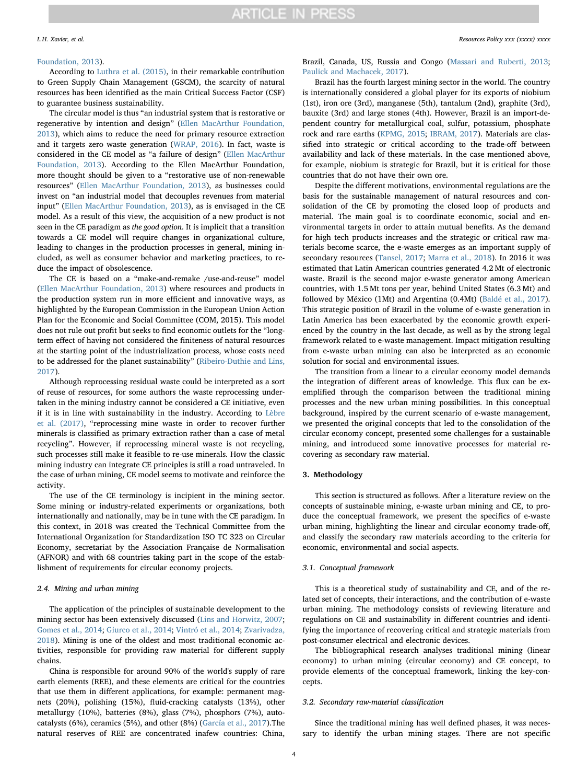### [Foundation, 2013\)](#page-7-11).

According to [Luthra et al. \(2015\),](#page-7-41) in their remarkable contribution to Green Supply Chain Management (GSCM), the scarcity of natural resources has been identified as the main Critical Success Factor (CSF) to guarantee business sustainability.

The circular model is thus "an industrial system that is restorative or regenerative by intention and design" ([Ellen MacArthur Foundation,](#page-7-11) [2013\)](#page-7-11), which aims to reduce the need for primary resource extraction and it targets zero waste generation ([WRAP, 2016\)](#page-7-42). In fact, waste is considered in the CE model as "a failure of design" ([Ellen MacArthur](#page-7-11) [Foundation, 2013\)](#page-7-11). According to the Ellen MacArthur Foundation, more thought should be given to a "restorative use of non-renewable resources" ([Ellen MacArthur Foundation, 2013\)](#page-7-11), as businesses could invest on "an industrial model that decouples revenues from material input" ([Ellen MacArthur Foundation, 2013\)](#page-7-11), as is envisaged in the CE model. As a result of this view, the acquisition of a new product is not seen in the CE paradigm as the good option. It is implicit that a transition towards a CE model will require changes in organizational culture, leading to changes in the production processes in general, mining included, as well as consumer behavior and marketing practices, to reduce the impact of obsolescence.

The CE is based on a "make-and-remake /use-and-reuse" model ([Ellen MacArthur Foundation, 2013\)](#page-7-11) where resources and products in the production system run in more efficient and innovative ways, as highlighted by the European Commission in the European Union Action Plan for the Economic and Social Committee (COM, 2015). This model does not rule out profit but seeks to find economic outlets for the "longterm effect of having not considered the finiteness of natural resources at the starting point of the industrialization process, whose costs need to be addressed for the planet sustainability" [\(Ribeiro-Duthie and Lins,](#page-8-17) [2017\)](#page-8-17).

Although reprocessing residual waste could be interpreted as a sort of reuse of resources, for some authors the waste reprocessing undertaken in the mining industry cannot be considered a CE initiative, even if it is in line with sustainability in the industry. According to [Lèbre](#page-7-43) [et al. \(2017\),](#page-7-43) "reprocessing mine waste in order to recover further minerals is classified as primary extraction rather than a case of metal recycling". However, if reprocessing mineral waste is not recycling, such processes still make it feasible to re-use minerals. How the classic mining industry can integrate CE principles is still a road untraveled. In the case of urban mining, CE model seems to motivate and reinforce the activity.

The use of the CE terminology is incipient in the mining sector. Some mining or industry-related experiments or organizations, both internationally and nationally, may be in tune with the CE paradigm. In this context, in 2018 was created the Technical Committee from the International Organization for Standardization ISO TC 323 on Circular Economy, secretariat by the Association Française de Normalisation (AFNOR) and with 68 countries taking part in the scope of the establishment of requirements for circular economy projects.

# 2.4. Mining and urban mining

The application of the principles of sustainable development to the mining sector has been extensively discussed ([Lins and Horwitz, 2007](#page-7-23); [Gomes et al., 2014;](#page-7-44) [Giurco et al., 2014;](#page-7-45) [Vintró et al., 2014](#page-8-18); [Zvarivadza,](#page-8-19) [2018\)](#page-8-19). Mining is one of the oldest and most traditional economic activities, responsible for providing raw material for different supply chains.

China is responsible for around 90% of the world's supply of rare earth elements (REE), and these elements are critical for the countries that use them in different applications, for example: permanent magnets (20%), polishing (15%), fluid-cracking catalysts (13%), other metallurgy (10%), batteries (8%), glass (7%), phosphors (7%), autocatalysts (6%), ceramics (5%), and other (8%) [\(García et al., 2017](#page-7-46)).The natural reserves of REE are concentrated inafew countries: China,

Brazil, Canada, US, Russia and Congo [\(Massari and Ruberti, 2013](#page-7-47); [Paulick and Machacek, 2017](#page-8-20)).

Brazil has the fourth largest mining sector in the world. The country is internationally considered a global player for its exports of niobium (1st), iron ore (3rd), manganese (5th), tantalum (2nd), graphite (3rd), bauxite (3rd) and large stones (4th). However, Brazil is an import-dependent country for metallurgical coal, sulfur, potassium, phosphate rock and rare earths [\(KPMG, 2015;](#page-7-48) [IBRAM, 2017\)](#page-7-49). Materials are classified into strategic or critical according to the trade-off between availability and lack of these materials. In the case mentioned above, for example, niobium is strategic for Brazil, but it is critical for those countries that do not have their own ore.

Despite the different motivations, environmental regulations are the basis for the sustainable management of natural resources and consolidation of the CE by promoting the closed loop of products and material. The main goal is to coordinate economic, social and environmental targets in order to attain mutual benefits. As the demand for high tech products increases and the strategic or critical raw materials become scarce, the e-waste emerges as an important supply of secondary resources [\(Tansel, 2017;](#page-8-0) [Marra et al., 2018](#page-7-50)). In 2016 it was estimated that Latin American countries generated 4.2 Mt of electronic waste. Brazil is the second major e-waste generator among American countries, with 1.5 Mt tons per year, behind United States (6.3 Mt) and followed by México (1Mt) and Argentina (0.4Mt) ([Baldé et al., 2017](#page-7-6)). This strategic position of Brazil in the volume of e-waste generation in Latin America has been exacerbated by the economic growth experienced by the country in the last decade, as well as by the strong legal framework related to e-waste management. Impact mitigation resulting from e-waste urban mining can also be interpreted as an economic solution for social and environmental issues.

The transition from a linear to a circular economy model demands the integration of different areas of knowledge. This flux can be exemplified through the comparison between the traditional mining processes and the new urban mining possibilities. In this conceptual background, inspired by the current scenario of e-waste management, we presented the original concepts that led to the consolidation of the circular economy concept, presented some challenges for a sustainable mining, and introduced some innovative processes for material recovering as secondary raw material.

#### 3. Methodology

This section is structured as follows. After a literature review on the concepts of sustainable mining, e-waste urban mining and CE, to produce the conceptual framework, we present the specifics of e-waste urban mining, highlighting the linear and circular economy trade-off, and classify the secondary raw materials according to the criteria for economic, environmental and social aspects.

#### 3.1. Conceptual framework

This is a theoretical study of sustainability and CE, and of the related set of concepts, their interactions, and the contribution of e-waste urban mining. The methodology consists of reviewing literature and regulations on CE and sustainability in different countries and identifying the importance of recovering critical and strategic materials from post-consumer electrical and electronic devices.

The bibliographical research analyses traditional mining (linear economy) to urban mining (circular economy) and CE concept, to provide elements of the conceptual framework, linking the key-concepts.

### 3.2. Secondary raw-material classification

Since the traditional mining has well defined phases, it was necessary to identify the urban mining stages. There are not specific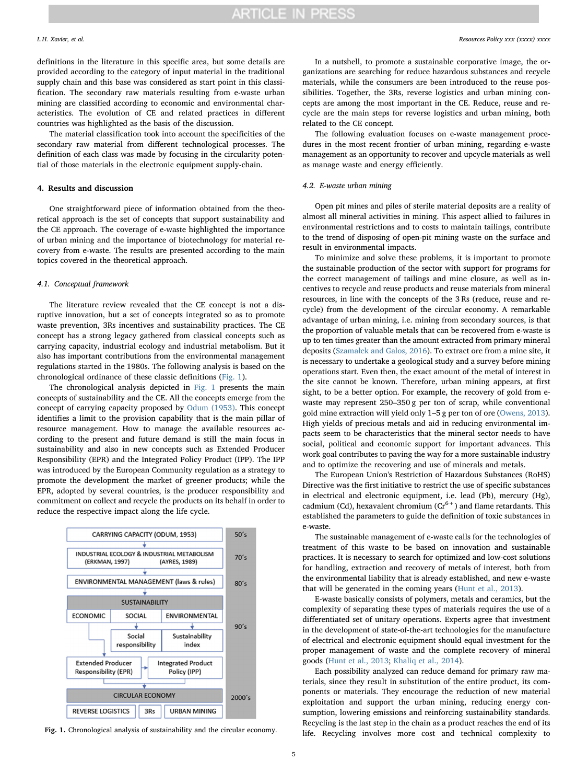definitions in the literature in this specific area, but some details are provided according to the category of input material in the traditional supply chain and this base was considered as start point in this classification. The secondary raw materials resulting from e-waste urban mining are classified according to economic and environmental characteristics. The evolution of CE and related practices in different countries was highlighted as the basis of the discussion.

The material classification took into account the specificities of the secondary raw material from different technological processes. The definition of each class was made by focusing in the circularity potential of those materials in the electronic equipment supply-chain.

## 4. Results and discussion

One straightforward piece of information obtained from the theoretical approach is the set of concepts that support sustainability and the CE approach. The coverage of e-waste highlighted the importance of urban mining and the importance of biotechnology for material recovery from e-waste. The results are presented according to the main topics covered in the theoretical approach.

# 4.1. Conceptual framework

The literature review revealed that the CE concept is not a disruptive innovation, but a set of concepts integrated so as to promote waste prevention, 3Rs incentives and sustainability practices. The CE concept has a strong legacy gathered from classical concepts such as carrying capacity, industrial ecology and industrial metabolism. But it also has important contributions from the environmental management regulations started in the 1980s. The following analysis is based on the chronological ordinance of these classic definitions ([Fig. 1](#page-4-0)).

The chronological analysis depicted in [Fig. 1](#page-4-0) presents the main concepts of sustainability and the CE. All the concepts emerge from the concept of carrying capacity proposed by [Odum \(1953\)](#page-7-14). This concept identifies a limit to the provision capability that is the main pillar of resource management. How to manage the available resources according to the present and future demand is still the main focus in sustainability and also in new concepts such as Extended Producer Responsibility (EPR) and the Integrated Policy Product (IPP). The IPP was introduced by the European Community regulation as a strategy to promote the development the market of greener products; while the EPR, adopted by several countries, is the producer responsibility and commitment on collect and recycle the products on its behalf in order to reduce the respective impact along the life cycle.

<span id="page-4-0"></span>

In a nutshell, to promote a sustainable corporative image, the organizations are searching for reduce hazardous substances and recycle materials, while the consumers are been introduced to the reuse possibilities. Together, the 3Rs, reverse logistics and urban mining concepts are among the most important in the CE. Reduce, reuse and recycle are the main steps for reverse logistics and urban mining, both related to the CE concept.

The following evaluation focuses on e-waste management procedures in the most recent frontier of urban mining, regarding e-waste management as an opportunity to recover and upcycle materials as well as manage waste and energy efficiently.

## 4.2. E-waste urban mining

Open pit mines and piles of sterile material deposits are a reality of almost all mineral activities in mining. This aspect allied to failures in environmental restrictions and to costs to maintain tailings, contribute to the trend of disposing of open-pit mining waste on the surface and result in environmental impacts.

To minimize and solve these problems, it is important to promote the sustainable production of the sector with support for programs for the correct management of tailings and mine closure, as well as incentives to recycle and reuse products and reuse materials from mineral resources, in line with the concepts of the 3 Rs (reduce, reuse and recycle) from the development of the circular economy. A remarkable advantage of urban mining, i.e. mining from secondary sources, is that the proportion of valuable metals that can be recovered from e-waste is up to ten times greater than the amount extracted from primary mineral deposits (Szamał[ek and Galos, 2016\)](#page-8-21). To extract ore from a mine site, it is necessary to undertake a geological study and a survey before mining operations start. Even then, the exact amount of the metal of interest in the site cannot be known. Therefore, urban mining appears, at first sight, to be a better option. For example, the recovery of gold from ewaste may represent 250–350 g per ton of scrap, while conventional gold mine extraction will yield only 1–5 g per ton of ore ([Owens, 2013](#page-8-22)). High yields of precious metals and aid in reducing environmental impacts seem to be characteristics that the mineral sector needs to have social, political and economic support for important advances. This work goal contributes to paving the way for a more sustainable industry and to optimize the recovering and use of minerals and metals.

The European Union's Restriction of Hazardous Substances (RoHS) Directive was the first initiative to restrict the use of specific substances in electrical and electronic equipment, i.e. lead (Pb), mercury (Hg), cadmium (Cd), hexavalent chromium  $(Cr^{6+})$  and flame retardants. This established the parameters to guide the definition of toxic substances in e-waste.

The sustainable management of e-waste calls for the technologies of treatment of this waste to be based on innovation and sustainable practices. It is necessary to search for optimized and low-cost solutions for handling, extraction and recovery of metals of interest, both from the environmental liability that is already established, and new e-waste that will be generated in the coming years ([Hunt et al., 2013](#page-7-51)).

E-waste basically consists of polymers, metals and ceramics, but the complexity of separating these types of materials requires the use of a differentiated set of unitary operations. Experts agree that investment in the development of state-of-the-art technologies for the manufacture of electrical and electronic equipment should equal investment for the proper management of waste and the complete recovery of mineral goods ([Hunt et al., 2013;](#page-7-51) [Khaliq et al., 2014](#page-7-52)).

Each possibility analyzed can reduce demand for primary raw materials, since they result in substitution of the entire product, its components or materials. They encourage the reduction of new material exploitation and support the urban mining, reducing energy consumption, lowering emissions and reinforcing sustainability standards. Recycling is the last step in the chain as a product reaches the end of its Fig. 1. Chronological analysis of sustainability and the circular economy. life. Recycling involves more cost and technical complexity to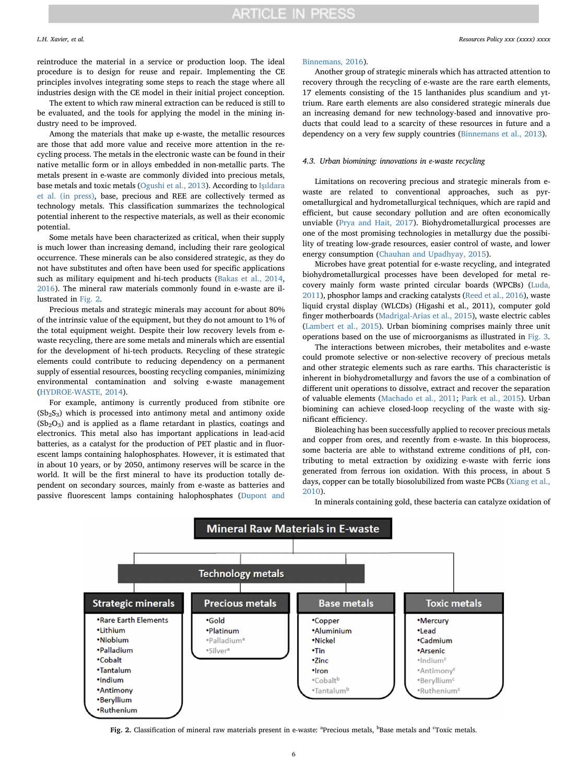reintroduce the material in a service or production loop. The ideal procedure is to design for reuse and repair. Implementing the CE principles involves integrating some steps to reach the stage where all industries design with the CE model in their initial project conception.

The extent to which raw mineral extraction can be reduced is still to be evaluated, and the tools for applying the model in the mining industry need to be improved.

Among the materials that make up e-waste, the metallic resources are those that add more value and receive more attention in the recycling process. The metals in the electronic waste can be found in their native metallic form or in alloys embedded in non-metallic parts. The metals present in e-waste are commonly divided into precious metals, base metals and toxic metals [\(Ogushi et al., 2013](#page-7-53)). According to Işı[ldara](#page-7-54) [et al. \(in press\),](#page-7-54) base, precious and REE are collectively termed as technology metals. This classification summarizes the technological potential inherent to the respective materials, as well as their economic potential.

Some metals have been characterized as critical, when their supply is much lower than increasing demand, including their rare geological occurrence. These minerals can be also considered strategic, as they do not have substitutes and often have been used for specific applications such as military equipment and hi-tech products ([Bakas et al., 2014](#page-7-55), [2016\)](#page-7-56). The mineral raw materials commonly found in e-waste are illustrated in [Fig. 2](#page-5-0).

Precious metals and strategic minerals may account for about 80% of the intrinsic value of the equipment, but they do not amount to 1% of the total equipment weight. Despite their low recovery levels from ewaste recycling, there are some metals and minerals which are essential for the development of hi-tech products. Recycling of these strategic elements could contribute to reducing dependency on a permanent supply of essential resources, boosting recycling companies, minimizing environmental contamination and solving e-waste management ([HYDROE-WASTE, 2014](#page-7-57)).

For example, antimony is currently produced from stibnite ore  $(Sb<sub>2</sub>S<sub>3</sub>)$  which is processed into antimony metal and antimony oxide  $(Sb<sub>2</sub>O<sub>3</sub>)$  and is applied as a flame retardant in plastics, coatings and electronics. This metal also has important applications in lead-acid batteries, as a catalyst for the production of PET plastic and in fluorescent lamps containing halophosphates. However, it is estimated that in about 10 years, or by 2050, antimony reserves will be scarce in the world. It will be the first mineral to have its production totally dependent on secondary sources, mainly from e-waste as batteries and passive fluorescent lamps containing halophosphates [\(Dupont and](#page-7-58)

### [Binnemans, 2016](#page-7-58)).

Another group of strategic minerals which has attracted attention to recovery through the recycling of e-waste are the rare earth elements, 17 elements consisting of the 15 lanthanides plus scandium and yttrium. Rare earth elements are also considered strategic minerals due an increasing demand for new technology-based and innovative products that could lead to a scarcity of these resources in future and a dependency on a very few supply countries [\(Binnemans et al., 2013](#page-7-59)).

# 4.3. Urban biomining: innovations in e-waste recycling

Limitations on recovering precious and strategic minerals from ewaste are related to conventional approaches, such as pyrometallurgical and hydrometallurgical techniques, which are rapid and efficient, but cause secondary pollution and are often economically unviable ([Prya and Hait, 2017\)](#page-8-23). Biohydrometallurgical processes are one of the most promising technologies in metallurgy due the possibility of treating low-grade resources, easier control of waste, and lower energy consumption [\(Chauhan and Upadhyay, 2015\)](#page-7-60).

Microbes have great potential for e-waste recycling, and integrated biohydrometallurgical processes have been developed for metal recovery mainly form waste printed circular boards (WPCBs) [\(Luda,](#page-7-61) [2011\)](#page-7-61), phosphor lamps and cracking catalysts ([Reed et al., 2016](#page-8-24)), waste liquid crystal display (WLCDs) (Higashi et al., 2011), computer gold finger motherboards ([Madrigal-Arias et al., 2015](#page-7-62)), waste electric cables ([Lambert et al., 2015\)](#page-7-63). Urban biomining comprises mainly three unit operations based on the use of microorganisms as illustrated in [Fig. 3](#page-6-0).

The interactions between microbes, their metabolites and e-waste could promote selective or non-selective recovery of precious metals and other strategic elements such as rare earths. This characteristic is inherent in biohydrometallurgy and favors the use of a combination of different unit operations to dissolve, extract and recover the separation of valuable elements [\(Machado et al., 2011;](#page-7-26) [Park et al., 2015\)](#page-8-25). Urban biomining can achieve closed-loop recycling of the waste with significant efficiency.

Bioleaching has been successfully applied to recover precious metals and copper from ores, and recently from e-waste. In this bioprocess, some bacteria are able to withstand extreme conditions of pH, contributing to metal extraction by oxidizing e-waste with ferric ions generated from ferrous ion oxidation. With this process, in about 5 days, copper can be totally biosolubilized from waste PCBs [\(Xiang et al.,](#page-8-26) [2010\)](#page-8-26).

In minerals containing gold, these bacteria can catalyze oxidation of

<span id="page-5-0"></span>

Fig. 2. Classification of mineral raw materials present in e-waste: <sup>a</sup>Precious metals, <sup>b</sup>Base metals and <sup>c</sup>Toxic metals.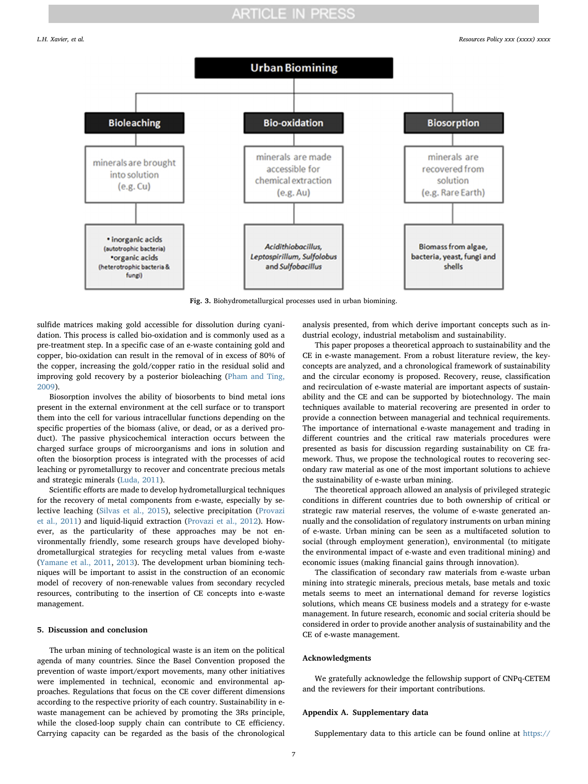<span id="page-6-0"></span>

Fig. 3. Biohydrometallurgical processes used in urban biomining.

sulfide matrices making gold accessible for dissolution during cyanidation. This process is called bio-oxidation and is commonly used as a pre-treatment step. In a specific case of an e-waste containing gold and copper, bio-oxidation can result in the removal of in excess of 80% of the copper, increasing the gold/copper ratio in the residual solid and improving gold recovery by a posterior bioleaching ([Pham and Ting,](#page-8-27) [2009\)](#page-8-27).

Biosorption involves the ability of biosorbents to bind metal ions present in the external environment at the cell surface or to transport them into the cell for various intracellular functions depending on the specific properties of the biomass (alive, or dead, or as a derived product). The passive physicochemical interaction occurs between the charged surface groups of microorganisms and ions in solution and often the biosorption process is integrated with the processes of acid leaching or pyrometallurgy to recover and concentrate precious metals and strategic minerals ([Luda, 2011](#page-7-61)).

Scientific efforts are made to develop hydrometallurgical techniques for the recovery of metal components from e-waste, especially by selective leaching ([Silvas et al., 2015\)](#page-8-28), selective precipitation [\(Provazi](#page-8-29) [et al., 2011](#page-8-29)) and liquid-liquid extraction [\(Provazi et al., 2012](#page-8-30)). However, as the particularity of these approaches may be not environmentally friendly, some research groups have developed biohydrometallurgical strategies for recycling metal values from e-waste ([Yamane et al., 2011,](#page-8-31) [2013](#page-8-32)). The development urban biomining techniques will be important to assist in the construction of an economic model of recovery of non-renewable values from secondary recycled resources, contributing to the insertion of CE concepts into e-waste management.

## 5. Discussion and conclusion

The urban mining of technological waste is an item on the political agenda of many countries. Since the Basel Convention proposed the prevention of waste import/export movements, many other initiatives were implemented in technical, economic and environmental approaches. Regulations that focus on the CE cover different dimensions according to the respective priority of each country. Sustainability in ewaste management can be achieved by promoting the 3Rs principle, while the closed-loop supply chain can contribute to CE efficiency. Carrying capacity can be regarded as the basis of the chronological analysis presented, from which derive important concepts such as industrial ecology, industrial metabolism and sustainability.

This paper proposes a theoretical approach to sustainability and the CE in e-waste management. From a robust literature review, the keyconcepts are analyzed, and a chronological framework of sustainability and the circular economy is proposed. Recovery, reuse, classification and recirculation of e-waste material are important aspects of sustainability and the CE and can be supported by biotechnology. The main techniques available to material recovering are presented in order to provide a connection between managerial and technical requirements. The importance of international e-waste management and trading in different countries and the critical raw materials procedures were presented as basis for discussion regarding sustainability on CE framework. Thus, we propose the technological routes to recovering secondary raw material as one of the most important solutions to achieve the sustainability of e-waste urban mining.

The theoretical approach allowed an analysis of privileged strategic conditions in different countries due to both ownership of critical or strategic raw material reserves, the volume of e-waste generated annually and the consolidation of regulatory instruments on urban mining of e-waste. Urban mining can be seen as a multifaceted solution to social (through employment generation), environmental (to mitigate the environmental impact of e-waste and even traditional mining) and economic issues (making financial gains through innovation).

The classification of secondary raw materials from e-waste urban mining into strategic minerals, precious metals, base metals and toxic metals seems to meet an international demand for reverse logistics solutions, which means CE business models and a strategy for e-waste management. In future research, economic and social criteria should be considered in order to provide another analysis of sustainability and the CE of e-waste management.

# Acknowledgments

We gratefully acknowledge the fellowship support of CNPq-CETEM and the reviewers for their important contributions.

### Appendix A. Supplementary data

Supplementary data to this article can be found online at [https://](https://doi.org/10.1016/j.resourpol.2019.101467)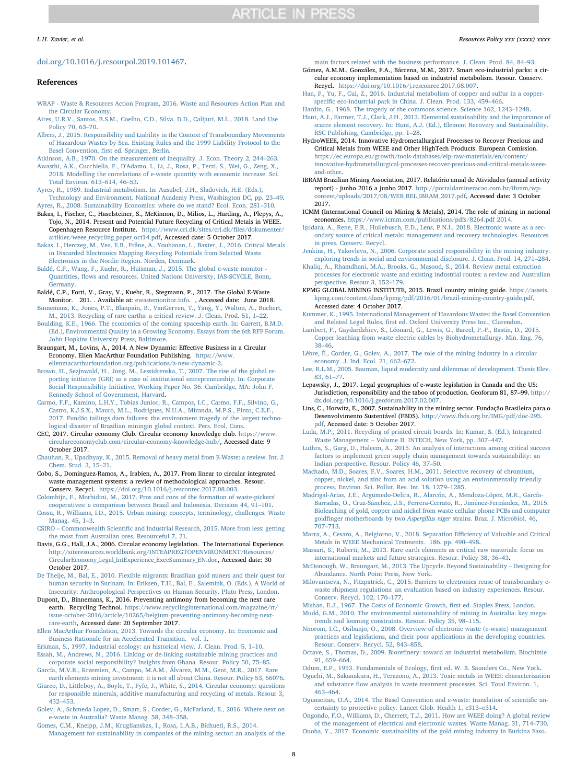# **ARTICLE IN PRESS**

#### L.H. Xavier, et al. *Resources Policy xxx (xxxx) xxxx*

#### [doi.org/10.1016/j.resourpol.2019.101467.](https://doi.org/10.1016/j.resourpol.2019.101467)

#### References

- <span id="page-7-42"></span>[WRAP - Waste & Resources Action Program, 2016. Waste and Resources Action Plan and](http://refhub.elsevier.com/S0301-4207(17)30543-3/sref1) [the Circular Economy](http://refhub.elsevier.com/S0301-4207(17)30543-3/sref1).
- <span id="page-7-31"></span>[Aires, U.R.V., Santos, B.S.M., Coelho, C.D., Silva, D.D., Calijuri, M.L., 2018. Land Use](http://refhub.elsevier.com/S0301-4207(17)30543-3/sref2) [Policy 70, 63](http://refhub.elsevier.com/S0301-4207(17)30543-3/sref2)–70.
- <span id="page-7-3"></span>[Albers, J., 2015. Responsibility and Liability in the Context of Transboundary Movements](http://refhub.elsevier.com/S0301-4207(17)30543-3/sref3) [of Hazardous Wastes by Sea. Existing Rules and the 1999 Liability Protocol to the](http://refhub.elsevier.com/S0301-4207(17)30543-3/sref3) Basel Convention, fi[rst ed. Springer, Berlin](http://refhub.elsevier.com/S0301-4207(17)30543-3/sref3).
- <span id="page-7-38"></span>[Atkinson, A.B., 1970. On the measurement of inequality. J. Econ. Theory 2, 244](http://refhub.elsevier.com/S0301-4207(17)30543-3/sref4)–263.
- <span id="page-7-5"></span>[Awasthi, A.K., Cucchiella, F., D'Adamo, I., Li, J., Rosa, P., Terzi, S., Wei, G., Zeng, X.,](http://refhub.elsevier.com/S0301-4207(17)30543-3/sref5) [2018. Modelling the correlations of e-waste quantity with economic increase. Sci.](http://refhub.elsevier.com/S0301-4207(17)30543-3/sref5) [Total Environ. 613](http://refhub.elsevier.com/S0301-4207(17)30543-3/sref5)–614, 46–53.
- <span id="page-7-17"></span>[Ayres, R., 1989. Industrial metabolism. In: Ausubel, J.H., Sladovich, H.E. \(Eds.\),](http://refhub.elsevier.com/S0301-4207(17)30543-3/sref6) [Technology and Environment. National Academy Press, Washington DC, pp. 23](http://refhub.elsevier.com/S0301-4207(17)30543-3/sref6)–49.
- <span id="page-7-55"></span><span id="page-7-27"></span>[Ayres, R., 2008. Sustainability Economics: where do we stand? Ecol. Econ. 281](http://refhub.elsevier.com/S0301-4207(17)30543-3/sref7)–310. Bakas, I., Fischer, C., Haselsteiner, S., McKinnon, D., Milios, L., Harding, A., Plepys, A.,
- Tojo, N., 2014. Present and Potential Future Recycling of Critical Metals in WEEE. Copenhagen Resource Institute. [https://www.cri.dk/sites/cri.dk/](https://www.cri.dk/sites/cri.dk/files/dokumenter/artikler/weee_recycling_paper_oct14.pdf)files/dokumenter/ [artikler/weee\\_recycling\\_paper\\_oct14.pdf,](https://www.cri.dk/sites/cri.dk/files/dokumenter/artikler/weee_recycling_paper_oct14.pdf) Accessed date: 5 October 2017.
- <span id="page-7-56"></span>[Bakas, I., Herczeg, M., Vea, E.B., Fråne, A., Youhanan, L., Baxter, J., 2016. Critical Metals](http://refhub.elsevier.com/S0301-4207(17)30543-3/sref9) [in Discarded Electronics Mapping Recycling Potentials from Selected Waste](http://refhub.elsevier.com/S0301-4207(17)30543-3/sref9) [Electronics in the Nordic Region. Norden, Denmark.](http://refhub.elsevier.com/S0301-4207(17)30543-3/sref9)
- <span id="page-7-13"></span>[Baldé, C.P., Wang, F., Kuehr, R., Huisman, J., 2015. The global e-waste monitor -](http://refhub.elsevier.com/S0301-4207(17)30543-3/sref10) Quantities, fl[ows and resources. United Nations University, IAS-SCYCLE, Bonn,](http://refhub.elsevier.com/S0301-4207(17)30543-3/sref10) [Germany](http://refhub.elsevier.com/S0301-4207(17)30543-3/sref10).
- <span id="page-7-6"></span>Baldé, C.P., Forti, V., Gray, V., Kuehr, R., Stegmann, P., 2017. The Global E-Waste Monitor. 201. . Available at: [ewastemonitor.info.](http://ewastemonitor.info) , Accessed date: June 2018. [Binnemans, K., Jones, P.T., Blanpain, B., VanGerven, T., Yang, Y., Walton, A., Buchert,](http://refhub.elsevier.com/S0301-4207(17)30543-3/sref12)
- <span id="page-7-59"></span><span id="page-7-37"></span>[M., 2013. Recycling of rare earths: a critical review. J. Clean. Prod. 51, 1](http://refhub.elsevier.com/S0301-4207(17)30543-3/sref12)–22. [Boulding, K.E., 1966. The economics of the coming spaceship earth. In: Garrett, B.M.D.](http://refhub.elsevier.com/S0301-4207(17)30543-3/sref13) [\(Ed.\), Environmental Quality in a Growing Economy. Essays from the 6th RFF Forum.](http://refhub.elsevier.com/S0301-4207(17)30543-3/sref13) [John Hopkins University Press, Baltimore](http://refhub.elsevier.com/S0301-4207(17)30543-3/sref13).
- <span id="page-7-40"></span>Braungart, M., Lovins, A., 2014. A New Dynamic: Effective Business in a Circular Economy. Ellen MacArthur Foundation Publishing. [https://www.](https://www.ellenmacarthurfoundation.org/publications/a-new-dynamic-2) [ellenmacarthurfoundation.org/publications/a-new-dynamic-2](https://www.ellenmacarthurfoundation.org/publications/a-new-dynamic-2).
- <span id="page-7-32"></span>[Brown, H., Sezjnwald, H., Jong, M., Lessidrenska, T., 2007. The rise of the global re](http://refhub.elsevier.com/S0301-4207(17)30543-3/sref15)[porting initiative \(GRI\) as a case of institutional entrepreneurship. In: Corporate](http://refhub.elsevier.com/S0301-4207(17)30543-3/sref15) [Social Responsibility Initiative, Working Paper No. 36. Cambridge, MA: John F.](http://refhub.elsevier.com/S0301-4207(17)30543-3/sref15) [Kennedy School of Government, Harvard.](http://refhub.elsevier.com/S0301-4207(17)30543-3/sref15)
- <span id="page-7-30"></span>[Carmo, F.F., Kamino, L.H.Y., Tobias Junior, R., Campos, I.C., Carmo, F.F., Silvino, G.,](http://refhub.elsevier.com/S0301-4207(17)30543-3/sref16) [Castro, K.J.S.X., Mauro, M.L., Rodrigues, N.U.A., Miranda, M.P.S., Pinto, C.E.F.,](http://refhub.elsevier.com/S0301-4207(17)30543-3/sref16) [2017. Fundão tailings dam failures: the environment tragedy of the largest techno](http://refhub.elsevier.com/S0301-4207(17)30543-3/sref16)[logical disaster of Brazilian miningin global context. Pers. Ecol. Cons](http://refhub.elsevier.com/S0301-4207(17)30543-3/sref16).
- <span id="page-7-35"></span>CEC, 2017. Circular economy Club. Circular economy knowledge club. [https://www.](https://www.circulareconomyclub.com/circular-economy-knowledge-hub/) [circulareconomyclub.com/circular-economy-knowledge-hub/](https://www.circulareconomyclub.com/circular-economy-knowledge-hub/), Accessed date: 9 October 2017.
- <span id="page-7-60"></span>[Chauhan, R., Upadhyay, K., 2015. Removal of heavy metal from E-Waste: a review. Int. J.](http://refhub.elsevier.com/S0301-4207(17)30543-3/sref19) [Chem. Stud. 3, 15](http://refhub.elsevier.com/S0301-4207(17)30543-3/sref19)–21.
- <span id="page-7-12"></span>Cobo, S., Dominguez-Ramos, A., Irabien, A., 2017. From linear to circular integrated waste management systems: a review of methodological approaches. Resour. Conserv. Recycl. <https://doi.org/10.1016/j.resconrec.2017.08.003>.
- <span id="page-7-7"></span>[Colombijn, F., Morbidini, M., 2017. Pros and cons of the formation of waste-pickers](http://refhub.elsevier.com/S0301-4207(17)30543-3/sref23)' [cooperatives: a comparison between Brazil and Indonesia. Decision 44, 91](http://refhub.elsevier.com/S0301-4207(17)30543-3/sref23)–101.
- <span id="page-7-21"></span>Cossu, [R., Williams, I.D., 2015. Urban mining: concepts, terminology, challenges. Waste](http://refhub.elsevier.com/S0301-4207(17)30543-3/sref24) [Manag. 45, 1](http://refhub.elsevier.com/S0301-4207(17)30543-3/sref24)–3.
- <span id="page-7-33"></span>CSIRO – Commonwealth Scientifi[c and Industrial Research, 2015. More from less: getting](http://refhub.elsevier.com/S0301-4207(17)30543-3/sref25) [the most from Australian ores. Resourceful 7, 21.](http://refhub.elsevier.com/S0301-4207(17)30543-3/sref25)
- Davis, G.G., Hall, J.A., 2006. Circular economy legislation. The International Experience. [http://siteresources.worldbank.org/INTEAPREGTOPENVIRONMENT/Resources/](http://siteresources.worldbank.org/INTEAPREGTOPENVIRONMENT/Resources/CircularEconomy_Legal_IntExperience_ExecSummary_EN.doc) [CircularEconomy\\_Legal\\_IntExperience\\_ExecSummary\\_EN.doc,](http://siteresources.worldbank.org/INTEAPREGTOPENVIRONMENT/Resources/CircularEconomy_Legal_IntExperience_ExecSummary_EN.doc) Accessed date: 30 October 2017.
- <span id="page-7-9"></span>[De Theije, M., Bal, E., 2010. Flexible migrants: Brazilian gold miners and their quest for](http://refhub.elsevier.com/S0301-4207(17)30543-3/sref27) [human security in Surinam. In: Eriksen, T.H., Bal, E., Salemink, O. \(Eds.\), A World of](http://refhub.elsevier.com/S0301-4207(17)30543-3/sref27) [Insecurity: Anthropological Perspectives on Human Security. Pluto Press, London](http://refhub.elsevier.com/S0301-4207(17)30543-3/sref27).
- <span id="page-7-58"></span>Dupont, D., Binnemans, K., 2016. Preventing antimony from becoming the next rare earth. Recycling Technol. [https://www.recyclinginternational.com/magazine/rt/](https://www.recyclinginternational.com/magazine/rt/issue-october-2016/article/10265/belgium-preventing-antimony-becoming-next-rare-earth) [issue-october-2016/article/10265/belgium-preventing-antimony-becoming-next](https://www.recyclinginternational.com/magazine/rt/issue-october-2016/article/10265/belgium-preventing-antimony-becoming-next-rare-earth)[rare-earth,](https://www.recyclinginternational.com/magazine/rt/issue-october-2016/article/10265/belgium-preventing-antimony-becoming-next-rare-earth) Accessed date: 20 September 2017.
- <span id="page-7-11"></span>[Ellen MacArthur Foundation, 2013. Towards the circular economy. In: Economic and](http://refhub.elsevier.com/S0301-4207(17)30543-3/sref29) [Business Rationale for an Accelerated Transition. vol. 1.](http://refhub.elsevier.com/S0301-4207(17)30543-3/sref29)
- <span id="page-7-29"></span><span id="page-7-16"></span>[Erkman, S., 1997. Industrial ecology: an historical view. J. Clean. Prod. 5, 1](http://refhub.elsevier.com/S0301-4207(17)30543-3/sref30)–10. [Essah, M., Andrews, N., 2016. Linking or de-linking sustainable mining practices and](http://refhub.elsevier.com/S0301-4207(17)30543-3/sref31)
- <span id="page-7-46"></span>[corporate social responsibility? Insights from Ghana. Resour. Policy 50, 75](http://refhub.elsevier.com/S0301-4207(17)30543-3/sref31)–85. [García, M.V.R., Krzemien, A., Campo, M.A.M., Álvarez, M.M., Gent, M.R., 2017. Rare](http://refhub.elsevier.com/S0301-4207(17)30543-3/sref32)
- <span id="page-7-45"></span>[earth elements mining investment: it is not all about China. Resour. Policy 53, 66076.](http://refhub.elsevier.com/S0301-4207(17)30543-3/sref32) [Giurco, D., Littleboy, A., Boyle, T., Fyfe, J., White, S., 2014. Circular economy: questions](http://refhub.elsevier.com/S0301-4207(17)30543-3/sref33)
- [for responsible minerals, additive manufacturing and recycling of metals. Resour 3,](http://refhub.elsevier.com/S0301-4207(17)30543-3/sref33) 432–[453](http://refhub.elsevier.com/S0301-4207(17)30543-3/sref33).
- <span id="page-7-34"></span>[Golev, A., Schmeda Lopez, D., Smart, S., Corder, G., McFarland, E., 2016. Where next on](http://refhub.elsevier.com/S0301-4207(17)30543-3/sref34) [e-waste in Australia? Waste Manag. 58, 348](http://refhub.elsevier.com/S0301-4207(17)30543-3/sref34)–358.
- <span id="page-7-44"></span>[Gomes, C.M., Kneipp, J.M., Kruglianskas, I., Rosa, L.A.B., Bichueti, R.S., 2014.](http://refhub.elsevier.com/S0301-4207(17)30543-3/sref35) [Management for sustainability in companies of the mining sector: an analysis of the](http://refhub.elsevier.com/S0301-4207(17)30543-3/sref35)
- <span id="page-7-20"></span>[main factors related with the business performance. J. Clean. Prod. 84, 84](http://refhub.elsevier.com/S0301-4207(17)30543-3/sref35)–93. Gómez, A.M.M., González, F.A., Bárcena, M.M., 2017. Smart eco-industrial parks: a circular economy implementation based on industrial metabolism. Resour. Conserv. Recycl. [https://doi.org/10.1016/j.resconrec.2017.08.007.](https://doi.org/10.1016/j.resconrec.2017.08.007)
- <span id="page-7-19"></span>[Han, F., Yu, F., Cui, Z., 2016. Industrial metabolism of copper and sulfur in a copper](http://refhub.elsevier.com/S0301-4207(17)30543-3/sref37)specifi[c eco-industrial park in China. J. Clean. Prod. 133, 459](http://refhub.elsevier.com/S0301-4207(17)30543-3/sref37)–466.
- <span id="page-7-51"></span><span id="page-7-15"></span>[Hardin, G., 1968. The tragedy of the commons science. Science 162, 1243](http://refhub.elsevier.com/S0301-4207(17)30543-3/sref38)–1248. [Hunt, A.J., Farmer, T.J., Clark, J.H., 2013. Elemental sustainability and the importance of](http://refhub.elsevier.com/S0301-4207(17)30543-3/sref40) [scarce element recovery. In: Hunt, A.J. \(Ed.\), Element Recovery and Sustainability.](http://refhub.elsevier.com/S0301-4207(17)30543-3/sref40) [RSC Publishing, Cambridge, pp. 1](http://refhub.elsevier.com/S0301-4207(17)30543-3/sref40)–28.
- <span id="page-7-57"></span>HydroWEEE, 2014. Innovative Hydrometallurgical Processes to Recover Precious and Critical Metals from WEEE and Other HighTech Products. European Comission. [https://ec.europa.eu/growth/tools-databases/eip-raw-materials/en/content/](https://ec.europa.eu/growth/tools-databases/eip-raw-materials/en/content/innovative-hydrometallurgical-processes-recover-precious-and-critical-metals-weee-and-other) [innovative-hydrometallurgical-processes-recover-precious-and-critical-metals-weee](https://ec.europa.eu/growth/tools-databases/eip-raw-materials/en/content/innovative-hydrometallurgical-processes-recover-precious-and-critical-metals-weee-and-other)[and-other.](https://ec.europa.eu/growth/tools-databases/eip-raw-materials/en/content/innovative-hydrometallurgical-processes-recover-precious-and-critical-metals-weee-and-other)
- <span id="page-7-49"></span>IBRAM Brazilian Mining Association, 2017. Relatório anual de Atividades (annual activity report) - junho 2016 a junho 2017. [http://portaldamineracao.com.br/ibram/wp](http://portaldamineracao.com.br/ibram/wp-content/uploads/2017/08/WEB_REL_IBRAM_2017.pdf)[content/uploads/2017/08/WEB\\_REL\\_IBRAM\\_2017.pdf](http://portaldamineracao.com.br/ibram/wp-content/uploads/2017/08/WEB_REL_IBRAM_2017.pdf), Accessed date: 3 October 2017.
- <span id="page-7-39"></span>ICMM (International Council on Mining & Metals), 2014. The role of mining in national economies. [https://www.icmm.com/publications/pdfs/8264.pdf 2014.](https://www.icmm.com/publications/pdfs/8264.pdf%202014)
- <span id="page-7-54"></span>Işı[ldara, A., Rene, E.R., Hullebusch, E.D., Lens, P.N.I., 2018. Electronic waste as a sec](http://refhub.elsevier.com/S0301-4207(17)30543-3/sref44)[ondary source of critical metals: management and recovery technologies. Resources.](http://refhub.elsevier.com/S0301-4207(17)30543-3/sref44) [in press. Conserv. Recycl](http://refhub.elsevier.com/S0301-4207(17)30543-3/sref44).
- <span id="page-7-25"></span>Jenkins, [H., Yakovleva, N., 2006. Corporate social responsibility in the mining industry:](http://refhub.elsevier.com/S0301-4207(17)30543-3/sref45) [exploring trends in social and environmental disclosure. J. Clean. Prod. 14, 271](http://refhub.elsevier.com/S0301-4207(17)30543-3/sref45)–284.
- <span id="page-7-52"></span>[Khaliq, A., Rhamdhani, M.A., Brooks, G., Masood, S., 2014. Review metal extraction](http://refhub.elsevier.com/S0301-4207(17)30543-3/sref46) [processes for electronic waste and existing industrial routes: a review and Australian](http://refhub.elsevier.com/S0301-4207(17)30543-3/sref46) [perspective. Resour 3, 152](http://refhub.elsevier.com/S0301-4207(17)30543-3/sref46)–179.
- <span id="page-7-48"></span>KPMG GLOBAL MINING INSTITUTE, 2015. Brazil country mining guide. [https://assets.](https://assets.kpmg.com/content/dam/kpmg/pdf/2016/01/brazil-mining-country-guide.pdf) [kpmg.com/content/dam/kpmg/pdf/2016/01/brazil-mining-country-guide.pdf](https://assets.kpmg.com/content/dam/kpmg/pdf/2016/01/brazil-mining-country-guide.pdf), Accessed date: 4 October 2017.
- <span id="page-7-4"></span>[Kummer, K., 1995. International Management of Hazardous Wastes: the Basel Convention](http://refhub.elsevier.com/S0301-4207(17)30543-3/sref48) and Related Legal Rules, fi[rst ed. Oxford University Press Inc., Clarendon.](http://refhub.elsevier.com/S0301-4207(17)30543-3/sref48)
- <span id="page-7-63"></span>[Lambert, F., Gaydardzhiev, S., Léonard, G., Lewis, G., Bareel, P.-F., Bastin, D., 2015.](http://refhub.elsevier.com/S0301-4207(17)30543-3/sref50) [Copper leaching from waste electric cables by Biohydrometallurgy. Min. Eng. 76,](http://refhub.elsevier.com/S0301-4207(17)30543-3/sref50) 38–[46](http://refhub.elsevier.com/S0301-4207(17)30543-3/sref50).
- <span id="page-7-43"></span>[Lèbre, É., Corder, G., Golev, A., 2017. The role of the mining industry in a circular](http://refhub.elsevier.com/S0301-4207(17)30543-3/sref51) [economy. J. Ind. Ecol. 21, 662](http://refhub.elsevier.com/S0301-4207(17)30543-3/sref51)–672.
- <span id="page-7-8"></span>[Lee, R.L.M., 2005. Bauman, liquid modernity and dilemmas of development. Thesis Elev.](http://refhub.elsevier.com/S0301-4207(17)30543-3/sref52) [83, 61](http://refhub.elsevier.com/S0301-4207(17)30543-3/sref52)–77.
- Lepawsky, J., 2017. Legal geographies of e-waste legislation in Canada and the US: Jurisdiction, responsibility and the taboo of production. Geoforum 81, 87–99. [http://](http://dx.doi.org/10.1016/j.geoforum.2017.02.007) [dx.doi.org/10.1016/j.geoforum.2017.02.007](http://dx.doi.org/10.1016/j.geoforum.2017.02.007).
- <span id="page-7-23"></span>Lins, C., Horwitz, E., 2007. Sustainability in the mining sector. Fundação Brasileira para o Desenvolvimento Sustentável (FBDS). [http://www.fbds.org.br/IMG/pdf/doc-295.](http://www.fbds.org.br/IMG/pdf/doc-295.pdf) [pdf,](http://www.fbds.org.br/IMG/pdf/doc-295.pdf) Accessed date: 5 October 2017.
- <span id="page-7-61"></span>[Luda, M.P., 2011. Recycling of printed circuit boards. In: Kumar, S. \(Ed.\), Integrated](http://refhub.elsevier.com/S0301-4207(17)30543-3/sref54) Waste Management – [Volume II. INTECH, New York, pp. 307](http://refhub.elsevier.com/S0301-4207(17)30543-3/sref54)–447.
- <span id="page-7-41"></span>[Luthra, S., Garg, D., Haleem, A., 2015. An analysis of interactions among critical success](http://refhub.elsevier.com/S0301-4207(17)30543-3/sref55) [factors to implement green supply chain management towards sustainability: an](http://refhub.elsevier.com/S0301-4207(17)30543-3/sref55) [Indian perspective. Resour. Policy 46, 37](http://refhub.elsevier.com/S0301-4207(17)30543-3/sref55)–50.
- <span id="page-7-26"></span>[Machado, M.D., Soares, E.V., Soares, H.M., 2011. Selective recovery of chromium,](http://refhub.elsevier.com/S0301-4207(17)30543-3/sref56) [copper, nickel, and zinc from an acid solution using an environmentally friendly](http://refhub.elsevier.com/S0301-4207(17)30543-3/sref56) [process. Environ. Sci. Pollut. Res. Int. 18, 1279](http://refhub.elsevier.com/S0301-4207(17)30543-3/sref56)–1285.
- <span id="page-7-62"></span>[Madrigal-Arias, J.E., Argumedo-Delira, R., Alarcón, A., Mendoza-López, M.R., García-](http://refhub.elsevier.com/S0301-4207(17)30543-3/sref57)[Barradas, O., Cruz-Sánchez, J.S., Ferrera-Cerrato, R., Jiménez-Fernández, M., 2015.](http://refhub.elsevier.com/S0301-4207(17)30543-3/sref57) [Bioleaching of gold, copper and nickel from waste cellular phone PCBs and computer](http://refhub.elsevier.com/S0301-4207(17)30543-3/sref57) goldfinger motherboards by two Aspergillus niger [strains. Braz. J. Microbiol. 46,](http://refhub.elsevier.com/S0301-4207(17)30543-3/sref57) 707–[713](http://refhub.elsevier.com/S0301-4207(17)30543-3/sref57).
- <span id="page-7-50"></span>[Marra, A., Cesaro, A., Belgiorno, V., 2018. Separation E](http://refhub.elsevier.com/S0301-4207(17)30543-3/sref58)fficiency of Valuable and Critical [Metals in WEEE Mechanical Tratments. 186. pp. 490](http://refhub.elsevier.com/S0301-4207(17)30543-3/sref58)–498.
- <span id="page-7-47"></span>[Massari, S., Ruberti, M., 2013. Rare earth elements as critical raw materials: focus on](http://refhub.elsevier.com/S0301-4207(17)30543-3/sref59) [international markets and future strategies. Resour. Policy 38, 36](http://refhub.elsevier.com/S0301-4207(17)30543-3/sref59)–43.
- <span id="page-7-22"></span>[McDonough, W., Braungart, M., 2013. The Upcycle. Beyond Sustainability](http://refhub.elsevier.com/S0301-4207(17)30543-3/sref61) – Designing for [Abundance. North Point Press, New York](http://refhub.elsevier.com/S0301-4207(17)30543-3/sref61).
- <span id="page-7-0"></span>[Milovantseva, N., Fitzpatrick, C., 2015. Barriers to electronics reuse of transboundary e](http://refhub.elsevier.com/S0301-4207(17)30543-3/sref63)[waste shipment regulations: an evaluation based on industry experiences. Resour.](http://refhub.elsevier.com/S0301-4207(17)30543-3/sref63) [Conserv. Recycl. 102, 170](http://refhub.elsevier.com/S0301-4207(17)30543-3/sref63)–177.
- <span id="page-7-36"></span>Mishan, [E.J., 1967. The Costs of Economic Growth,](http://refhub.elsevier.com/S0301-4207(17)30543-3/sref64) first ed. Staples Press, London.
- <span id="page-7-24"></span>[Mudd, G.M., 2010. The environmental sustainability of mining in Australia: key mega](http://refhub.elsevier.com/S0301-4207(17)30543-3/sref65)[trends and looming constraints. Resour. Policy 35, 98](http://refhub.elsevier.com/S0301-4207(17)30543-3/sref65)–115.
- <span id="page-7-1"></span>[Nnorom, I.C., Osibanjo, O., 2008. Overview of electronic waste \(e-waste\) management](http://refhub.elsevier.com/S0301-4207(17)30543-3/sref66) [practices and legislations, and their poor applications in the developing countries.](http://refhub.elsevier.com/S0301-4207(17)30543-3/sref66) [Resour. Conserv. Recycl. 52, 843](http://refhub.elsevier.com/S0301-4207(17)30543-3/sref66)–858.
- <span id="page-7-18"></span>Octave, S., Thomas, D., 2009. Biorefi[nery: toward an industrial metabolism. Biochimie](http://refhub.elsevier.com/S0301-4207(17)30543-3/sref67) [91, 659](http://refhub.elsevier.com/S0301-4207(17)30543-3/sref67)–664.
- <span id="page-7-14"></span>[Odum, E.P., 1953. Fundamentals of Ecology,](http://refhub.elsevier.com/S0301-4207(17)30543-3/sref68) first ed. W. B. Saunders Co., New York.
- <span id="page-7-53"></span>[Oguchi, M., Sakanakura, H., Terazono, A., 2013. Toxic metals in WEEE: characterization](http://refhub.elsevier.com/S0301-4207(17)30543-3/sref69) and substance fl[ow analysis in waste treatment processes. Sci. Total Environ. 1,](http://refhub.elsevier.com/S0301-4207(17)30543-3/sref69) 463–[464](http://refhub.elsevier.com/S0301-4207(17)30543-3/sref69).
- <span id="page-7-2"></span>[Ogunseitan, O.A., 2014. The Basel Convention and e-waste: translation of scienti](http://refhub.elsevier.com/S0301-4207(17)30543-3/sref70)fic un[certainty to protective policy. Lancet Glob. Health 1, e313](http://refhub.elsevier.com/S0301-4207(17)30543-3/sref70)–e314.
- <span id="page-7-10"></span>[Ongondo, F.O., Williams, D., Cherrett, T.J., 2011. How are WEEE doing? A global review](http://refhub.elsevier.com/S0301-4207(17)30543-3/sref71) [of the management of electrical and electronic wastes. Waste Manag. 31, 714](http://refhub.elsevier.com/S0301-4207(17)30543-3/sref71)–730.
- <span id="page-7-28"></span>[Ouoba, Y., 2017. Economic sustainability of the gold mining industry in Burkina Faso.](http://refhub.elsevier.com/S0301-4207(17)30543-3/sref72)